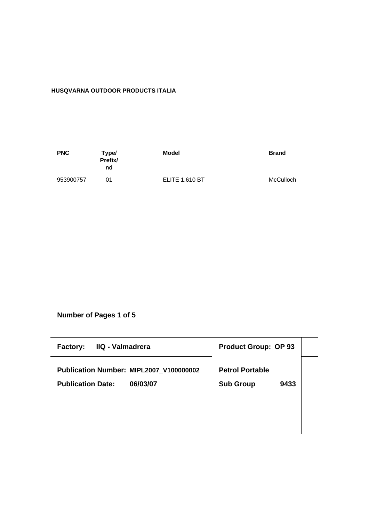# **HUSQVARNA OUTDOOR PRODUCTS ITALIA**

| <b>PNC</b> | Type/<br>Prefix/<br>nd | Model                 | <b>Brand</b> |
|------------|------------------------|-----------------------|--------------|
| 953900757  | ሰ1                     | <b>ELITE 1.610 BT</b> | McCulloch    |

**Number of Pages 1 of 5**

| IIQ - Valmadrera<br><b>Factory:</b>     | <b>Product Group: OP 93</b> |
|-----------------------------------------|-----------------------------|
| Publication Number: MIPL2007_V100000002 | <b>Petrol Portable</b>      |
| <b>Publication Date:</b><br>06/03/07    | <b>Sub Group</b><br>9433    |
|                                         |                             |
|                                         |                             |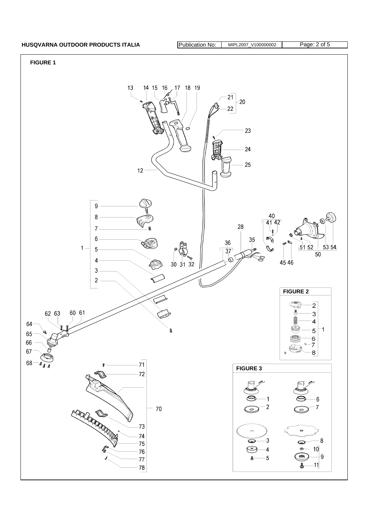## **HUSQVARNA OUTDOOR PRODUCTS ITALIA** Publication No: MIPL2007\_V100000002 Page: 2 of 5

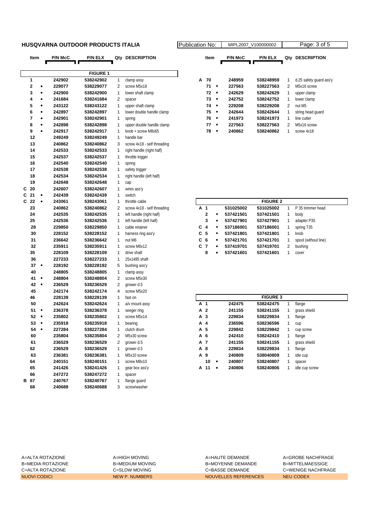### **HUSQVARNA OUTDOOR PRODUCTS ITALIA Publication No: Propriet No: Algorithment**

|   | Item           |           | <b>P/N McC</b> | P/N ELX         | Qty | <b>DESCRIPTION</b>          |   | Item           |           | <b>P/N McC</b> | P/N ELX         |              | Qty DESCRIPTION         |
|---|----------------|-----------|----------------|-----------------|-----|-----------------------------|---|----------------|-----------|----------------|-----------------|--------------|-------------------------|
|   |                |           |                |                 |     |                             |   |                |           |                |                 |              |                         |
|   |                |           |                | <b>FIGURE 1</b> |     |                             |   |                |           |                |                 |              |                         |
|   | 1              |           | 242902         | 538242902       | 1   | clamp assy                  | А | 70             |           | 248959         | 538248959       | 1            | d.25 safety guard ass'y |
|   | $\bf{2}$       | ٠         | 229077         | 538229077       | 2   | screw M5x18                 |   | 71             | $\bullet$ | 227563         | 538227563       | 2            | M5x16 screw             |
|   | 3              | $\bullet$ | 242900         | 538242900       | 1   | lower shaft clamp           |   | 72             | $\bullet$ | 242629         | 538242629       | 1            | upper clamp             |
|   | 4              | ٠         | 241684         | 538241684       | 2   | spacer                      |   | 73             | $\bullet$ | 242752         | 538242752       | 1            | lower clamp             |
|   | 5              | $\bullet$ | 243122         | 538243122       | 1   | upper shaft clamp           |   | 74             | $\bullet$ | 229208         | 538229208       | 2            | nut M5                  |
|   | 6              | $\bullet$ | 242897         | 538242897       | 1   | lower double handle clamp   |   | 75             | $\bullet$ | 242644         | 538242644       | 1            | string head guard       |
|   | $\overline{7}$ | $\bullet$ | 242901         | 538242901       | 1   | spring                      |   | 76             | $\bullet$ | 241973         | 538241973       | 1            | line cutter             |
|   | 8              | ٠         | 242898         | 538242898       | 1   | upper double handle clamp   |   | 77             | $\bullet$ | 227563         | 538227563       | 2            | M5x16 screw             |
|   | 9              | $\bullet$ | 242917         | 538242917       | 1   | knob + screw M8x65          |   | 78             | $\bullet$ | 240862         | 538240862       | $\mathbf{1}$ | screw 4x18              |
|   | 12             |           | 249249         | 538249249       | 1   | handle bar                  |   |                |           |                |                 |              |                         |
|   | 13             |           | 240862         | 538240862       | 3   | screw 4x18 - self threading |   |                |           |                |                 |              |                         |
|   | 14             |           | 242533         | 538242533       | 1   | right handle (right half)   |   |                |           |                |                 |              |                         |
|   | 15             |           | 242537         | 538242537       | 1   | throttle trigger            |   |                |           |                |                 |              |                         |
|   | 16             |           | 242540         | 538242540       | 1   | spring                      |   |                |           |                |                 |              |                         |
|   | 17             |           | 242538         | 538242538       | 1   | safety trigger              |   |                |           |                |                 |              |                         |
|   | 18             |           | 242534         | 538242534       | 1   | right handle (left half)    |   |                |           |                |                 |              |                         |
|   | 19             |           | 242648         | 538242648       | 1   | cap                         |   |                |           |                |                 |              |                         |
| C | 20             |           | 242607         | 538242607       | 1   | wires ass'y                 |   |                |           |                |                 |              |                         |
| C | 21             | ٠         | 242439         | 538242439       | 1   | switch                      |   |                |           |                |                 |              |                         |
| C | 22             | $\bullet$ | 243061         | 538243061       | 1   | throttle cable              |   |                |           |                | <b>FIGURE 2</b> |              |                         |
|   | 23             |           | 240862         | 538240862       | 2   | screw 4x18 - self threading |   | A 1            |           | 531025002      | 531025002       | $\mathbf{1}$ | P 35 trimmer head       |
|   | 24             |           | 242535         | 538242535       | 1   | left handle (right half)    |   | $\mathbf 2$    |           | 537421501      | 537421501       | 1            | body                    |
|   | 25             |           | 242536         | 538242536       | 1   | left handle (left half)     |   | 3              | $\bullet$ | 537427901      | 537427901       | 1            | adapter P35             |
|   | 28             |           | 229850         | 538229850       | 1   | cable retainer              | С | $\overline{4}$ | $\bullet$ | 537186001      | 537186001       | 1            | spring T35              |
|   | 30             |           | 228152         | 538228152       | 1   | harness ring ass'y          |   | C <sub>5</sub> | $\bullet$ | 537421801      | 537421801       | 1            | knob                    |
|   | 31             |           | 236642         | 538236642       | 1   | nut M6                      | С | 6              | $\bullet$ | 537421701      | 537421701       | 1            | spool (without line)    |
|   | 32             |           | 235911         | 538235911       | 1   | screw M6x12                 |   | C <sub>7</sub> | ٠         | 537419701      | 537419701       | 2            | bushing                 |
|   | 35             |           | 228109         | 538228109       | 1   | drive shaft                 |   | 8              | $\bullet$ | 537421601      | 537421601       | 1            | cover                   |
|   | 36             |           | 227233         | 538227233       | 1   | 25x1485 shaft               |   |                |           |                |                 |              |                         |
|   | 37             | $\bullet$ | 228192         | 538228192       | 5   | bushing ass'y               |   |                |           |                |                 |              |                         |
|   | 40             |           | 248805         | 538248805       | 1   | clamp assy                  |   |                |           |                |                 |              |                         |
|   | 41             | $\bullet$ | 248804         | 538248804       | 2   | screw M5x30                 |   |                |           |                |                 |              |                         |
|   | 42             | $\bullet$ | 236529         | 538236529       | 2   | grower d.5                  |   |                |           |                |                 |              |                         |
|   | 45             |           | 242174         | 538242174       | 4   | screw M5x20                 |   |                |           |                |                 |              |                         |
|   | 46             |           | 228139         | 538228139       | 1   | fast on                     |   |                |           |                | <b>FIGURE 3</b> |              |                         |
|   | 50             |           | 242624         | 538242624       | 1   | a/v mount assy              |   | A 1            |           | 242475         | 538242475       | 1            | flange                  |
|   | 51             | $\bullet$ | 236378         | 538236378       | 1   | seeger ring                 |   | A 2            |           | 241155         | 538241155       | 1            | grass shield            |
|   | 52             | $\bullet$ | 235802         | 538235802       | 1   | screw M5x14                 |   | A 3            |           | 229834         | 538229834       | 1            | flange                  |
|   | 53             | $\bullet$ | 235918         | 538235918       | 1   | bearing                     |   | A 4            |           | 236596         | 538236596       | 1            | cup                     |
|   | 54             | ٠         | 227284         | 538227284       | 1   | clutch drum                 |   | A 5            |           | 229842         | 538229842       | 1            | cup screw               |
|   | 60             |           | 235804         | 538235804       | 2   | M5x30 screw                 |   | A 6            |           | 242410         | 538242410       | 1            | flange                  |
|   | 61             |           | 236529         | 538236529       | 2   | grower d.5                  |   | A 7            |           | 241155         | 538241155       | 1            | grass shield            |
|   | 62             |           | 236529         | 538236529       | 1   | grower d.5                  |   | A 8            |           | 229834         | 538229834       | 1            | flange                  |
|   | 63             |           | 236381         | 538236381       | 1   | M5x10 screw                 |   | A 9            |           | 240809         | 538040809       | 1            | idle cup                |
|   | 64             |           | 240151         | 538240151       | 1   | screw M8x10                 |   | 10             | ٠         | 240807         | 538240807       | 1            | spacer                  |
|   | 65             |           | 241426         | 538241426       | 1   | gear box ass'y              |   | A 11           | ٠         | 240806         | 538240806       | 1            | idle cup screw          |
|   | 66             |           | 247272         | 538247272       | 1   | spacer                      |   |                |           |                |                 |              |                         |
|   | B 67           |           | 240767         | 538240767       | 1   | flange guard                |   |                |           |                |                 |              |                         |
|   | 68             |           | 240688         | 538240688       | 3   | screw/washer                |   |                |           |                |                 |              |                         |

|   | ation No: |   |                | MIPL2007 V100000002 |     | Page: 3 of 5            |  |
|---|-----------|---|----------------|---------------------|-----|-------------------------|--|
|   | Item      |   | <b>P/N McC</b> | <b>P/N ELX</b>      | Qtv | <b>DESCRIPTION</b>      |  |
|   |           |   |                |                     |     |                         |  |
| А | 70        |   | 248959         | 538248959           | 1   | d.25 safety guard ass'y |  |
|   | 71        |   | 227563         | 538227563           | 2   | M5x16 screw             |  |
|   | 72        | ٠ | 242629         | 538242629           | 1   | upper clamp             |  |
|   | 73        | ٠ | 242752         | 538242752           | 1   | lower clamp             |  |
|   | 74        |   | 229208         | 538229208           | 2   | nut M <sub>5</sub>      |  |
|   | 75        | ٠ | 242644         | 538242644           | 1   | string head quard       |  |
|   | 76        |   | 241973         | 538241973           | 1   | line cutter             |  |
|   | 77        |   | 227563         | 538227563           | 2   | M5x16 screw             |  |
|   | 78        |   | 240862         | 538240862           | 1   | screw 4x18              |  |
|   |           |   |                |                     |     |                         |  |

|       |              |   |           | <b>FIGURE 2</b> |   |                      |
|-------|--------------|---|-----------|-----------------|---|----------------------|
| A 1   |              |   | 531025002 | 531025002       | 1 | P 35 trimmer head    |
|       | $\mathbf{2}$ | ٠ | 537421501 | 537421501       | 1 | body                 |
|       | 3            | ٠ | 537427901 | 537427901       | 1 | adapter P35          |
| $C_4$ |              | ٠ | 537186001 | 537186001       | 1 | spring T35           |
| C 5   |              | ٠ | 537421801 | 537421801       | 1 | knob                 |
|       | C 6          | ٠ | 537421701 | 537421701       |   | spool (without line) |
| C 7   |              | ٠ | 537419701 | 537419701       | 2 | bushing              |
|       | 8            | ٠ | 537421601 | 537421601       |   | cover                |

|     | <b>FIGURE 3</b> |           |        |           |   |                |  |  |  |  |  |
|-----|-----------------|-----------|--------|-----------|---|----------------|--|--|--|--|--|
| A 1 |                 |           | 242475 | 538242475 | 1 | flange         |  |  |  |  |  |
| A 2 |                 |           | 241155 | 538241155 | 1 | grass shield   |  |  |  |  |  |
| A 3 |                 |           | 229834 | 538229834 | 1 | flange         |  |  |  |  |  |
| A 4 |                 |           | 236596 | 538236596 | 1 | cup            |  |  |  |  |  |
| A 5 |                 |           | 229842 | 538229842 | 1 | cup screw      |  |  |  |  |  |
| A 6 |                 |           | 242410 | 538242410 | 1 | flange         |  |  |  |  |  |
| A 7 |                 |           | 241155 | 538241155 | 1 | grass shield   |  |  |  |  |  |
| A 8 |                 |           | 229834 | 538229834 | 1 | flange         |  |  |  |  |  |
| A 9 |                 |           | 240809 | 538040809 | 1 | idle cup       |  |  |  |  |  |
|     | 10              | $\bullet$ | 240807 | 538240807 | 1 | spacer         |  |  |  |  |  |
| А   | 11              |           | 240806 | 538240806 | 1 | idle cup screw |  |  |  |  |  |

A=ALTA ROTAZIONE A=HIGH MOVING A=HAUTE DEMANDE A=GROBE NACHFRAGE B=MEDIA ROTAZIONE B=MEDIUM MOVING B=MOYENNE DEMANDE B=MITTELMAESSIGE C=ALTA ROTAZIONE C=SLOW MOVING C=BASSE DEMANDE C=WENIGE NACHFRAGE NUOVI CODICI NEW P. NUMBERS NOUVELLES REFERENCES NEU CODEX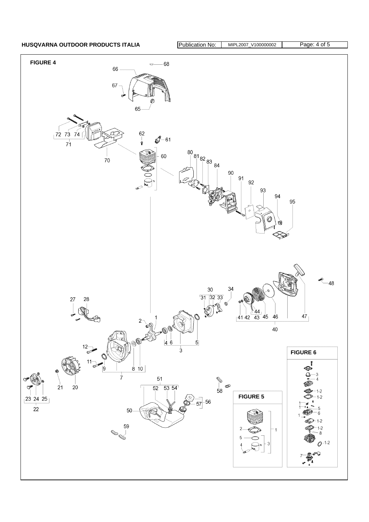HUSQVARNA OUTDOOR PRODUCTS ITALIA **Publication No: MIPL2007\_V100000002** Page: 4 of 5